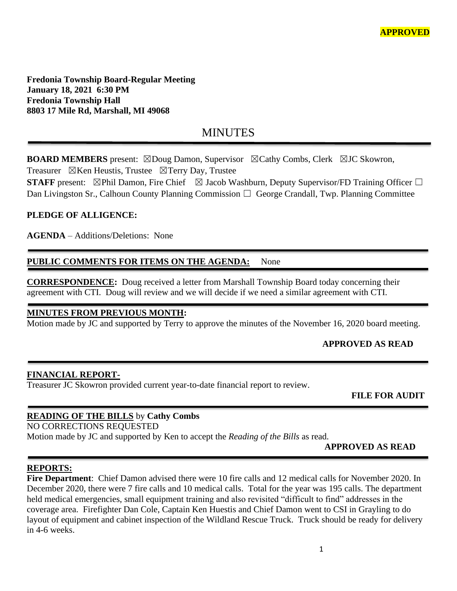**Fredonia Township Board-Regular Meeting January 18, 2021 6:30 PM Fredonia Township Hall 8803 17 Mile Rd, Marshall, MI 49068**

# MINUTES

**BOARD MEMBERS** present: ⊠Doug Damon, Supervisor ⊠Cathy Combs, Clerk ⊠JC Skowron, Treasurer  $\boxtimes$ Ken Heustis, Trustee  $\boxtimes$ Terry Day, Trustee

**STAFF** present:  $\boxtimes$ Phil Damon, Fire Chief  $\boxtimes$  Jacob Washburn, Deputy Supervisor/FD Training Officer  $\Box$ Dan Livingston Sr., Calhoun County Planning Commission  $\Box$  George Crandall, Twp. Planning Committee

## **PLEDGE OF ALLIGENCE:**

**AGENDA** – Additions/Deletions: None

# **PUBLIC COMMENTS FOR ITEMS ON THE AGENDA:** None

**CORRESPONDENCE:** Doug received a letter from Marshall Township Board today concerning their agreement with CTI. Doug will review and we will decide if we need a similar agreement with CTI.

### **MINUTES FROM PREVIOUS MONTH:**

Motion made by JC and supported by Terry to approve the minutes of the November 16, 2020 board meeting.

# **APPROVED AS READ**

#### **FINANCIAL REPORT-**

Treasurer JC Skowron provided current year-to-date financial report to review.

 **FILE FOR AUDIT** 

#### **READING OF THE BILLS** by **Cathy Combs**

NO CORRECTIONS REQUESTED Motion made by JC and supported by Ken to accept the *Reading of the Bills* as read.

#### **APPROVED AS READ**

### **REPORTS:**

**Fire Department**: Chief Damon advised there were 10 fire calls and 12 medical calls for November 2020. In December 2020, there were 7 fire calls and 10 medical calls. Total for the year was 195 calls. The department held medical emergencies, small equipment training and also revisited "difficult to find" addresses in the coverage area. Firefighter Dan Cole, Captain Ken Huestis and Chief Damon went to CSI in Grayling to do layout of equipment and cabinet inspection of the Wildland Rescue Truck. Truck should be ready for delivery in 4-6 weeks.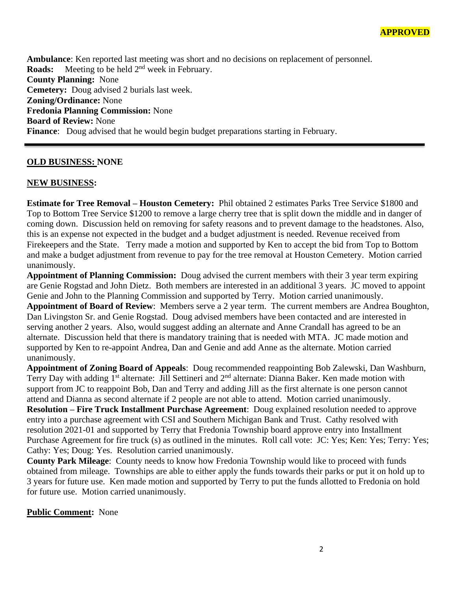**Ambulance**: Ken reported last meeting was short and no decisions on replacement of personnel. **Roads:** Meeting to be held 2<sup>nd</sup> week in February. **County Planning:** None **Cemetery:** Doug advised 2 burials last week. **Zoning/Ordinance:** None **Fredonia Planning Commission:** None **Board of Review:** None **Finance**: Doug advised that he would begin budget preparations starting in February.

## **OLD BUSINESS: NONE**

#### **NEW BUSINESS:**

**Estimate for Tree Removal – Houston Cemetery:** Phil obtained 2 estimates Parks Tree Service \$1800 and Top to Bottom Tree Service \$1200 to remove a large cherry tree that is split down the middle and in danger of coming down. Discussion held on removing for safety reasons and to prevent damage to the headstones. Also, this is an expense not expected in the budget and a budget adjustment is needed. Revenue received from Firekeepers and the State. Terry made a motion and supported by Ken to accept the bid from Top to Bottom and make a budget adjustment from revenue to pay for the tree removal at Houston Cemetery. Motion carried unanimously.

**Appointment of Planning Commission:** Doug advised the current members with their 3 year term expiring are Genie Rogstad and John Dietz. Both members are interested in an additional 3 years. JC moved to appoint Genie and John to the Planning Commission and supported by Terry. Motion carried unanimously. **Appointment of Board of Review**: Members serve a 2 year term. The current members are Andrea Boughton, Dan Livingston Sr. and Genie Rogstad. Doug advised members have been contacted and are interested in serving another 2 years. Also, would suggest adding an alternate and Anne Crandall has agreed to be an alternate. Discussion held that there is mandatory training that is needed with MTA. JC made motion and supported by Ken to re-appoint Andrea, Dan and Genie and add Anne as the alternate. Motion carried unanimously.

**Appointment of Zoning Board of Appeals**: Doug recommended reappointing Bob Zalewski, Dan Washburn, Terry Day with adding 1<sup>st</sup> alternate: Jill Settineri and 2<sup>nd</sup> alternate: Dianna Baker. Ken made motion with support from JC to reappoint Bob, Dan and Terry and adding Jill as the first alternate is one person cannot attend and Dianna as second alternate if 2 people are not able to attend. Motion carried unanimously. **Resolution – Fire Truck Installment Purchase Agreement**: Doug explained resolution needed to approve entry into a purchase agreement with CSI and Southern Michigan Bank and Trust. Cathy resolved with resolution 2021-01 and supported by Terry that Fredonia Township board approve entry into Installment Purchase Agreement for fire truck (s) as outlined in the minutes. Roll call vote: JC: Yes; Ken: Yes; Terry: Yes; Cathy: Yes; Doug: Yes. Resolution carried unanimously.

**County Park Mileage**: County needs to know how Fredonia Township would like to proceed with funds obtained from mileage. Townships are able to either apply the funds towards their parks or put it on hold up to 3 years for future use. Ken made motion and supported by Terry to put the funds allotted to Fredonia on hold for future use. Motion carried unanimously.

#### **Public Comment:** None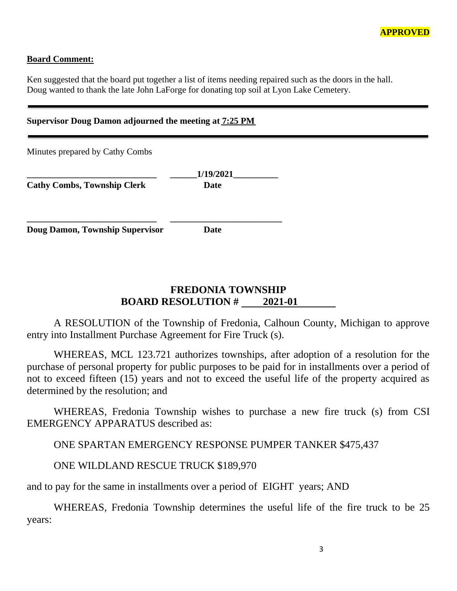

### **Board Comment:**

Ken suggested that the board put together a list of items needing repaired such as the doors in the hall. Doug wanted to thank the late John LaForge for donating top soil at Lyon Lake Cemetery.

| Supervisor Doug Damon adjourned the meeting at 7:25 PM |                   |  |
|--------------------------------------------------------|-------------------|--|
| Minutes prepared by Cathy Combs                        |                   |  |
| <b>Cathy Combs, Township Clerk</b>                     | 1/19/2021<br>Date |  |
| Doug Damon, Township Supervisor                        | Date              |  |

# **FREDONIA TOWNSHIP BOARD RESOLUTION #** 2021-01

A RESOLUTION of the Township of Fredonia, Calhoun County, Michigan to approve entry into Installment Purchase Agreement for Fire Truck (s).

WHEREAS, MCL 123.721 authorizes townships, after adoption of a resolution for the purchase of personal property for public purposes to be paid for in installments over a period of not to exceed fifteen (15) years and not to exceed the useful life of the property acquired as determined by the resolution; and

WHEREAS, Fredonia Township wishes to purchase a new fire truck (s) from CSI EMERGENCY APPARATUS described as:

ONE SPARTAN EMERGENCY RESPONSE PUMPER TANKER \$475,437

ONE WILDLAND RESCUE TRUCK \$189,970

and to pay for the same in installments over a period of EIGHT years; AND

WHEREAS, Fredonia Township determines the useful life of the fire truck to be 25 years: